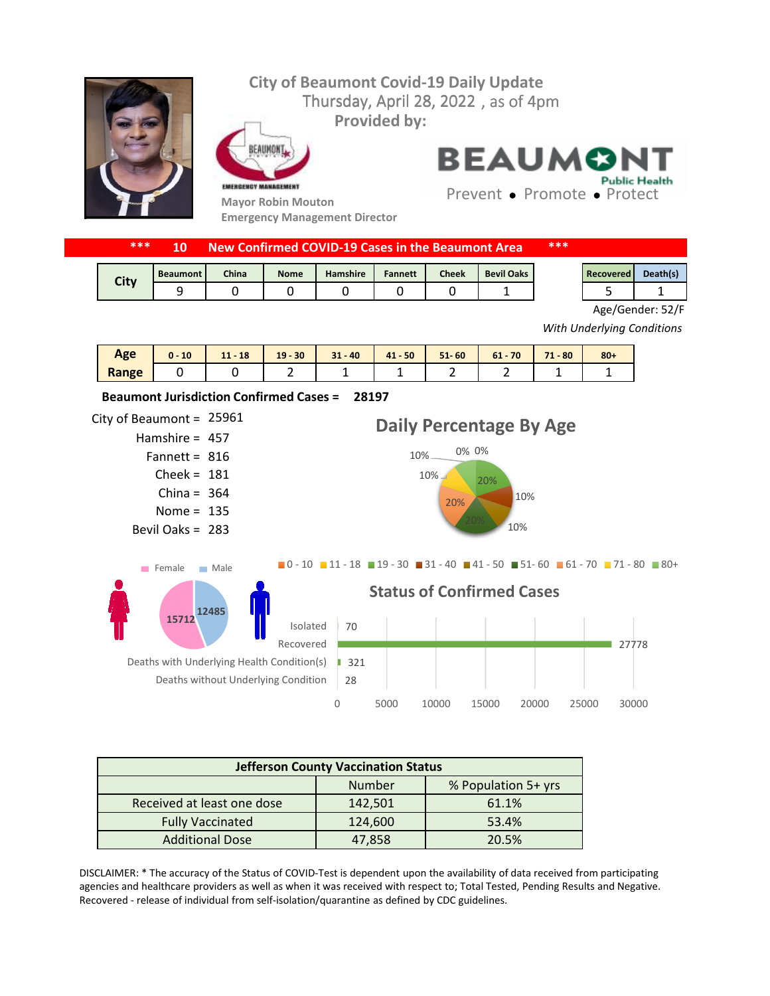

| ***  |                 | New Confirmed COVID-19 Cases in the Beaumont Area |             |                 |                |              | ***               |  |           |          |
|------|-----------------|---------------------------------------------------|-------------|-----------------|----------------|--------------|-------------------|--|-----------|----------|
|      |                 |                                                   |             |                 |                |              |                   |  |           |          |
| City | <b>Beaumont</b> | <b>China</b>                                      | <b>Nome</b> | <b>Hamshire</b> | <b>Fannett</b> | <b>Cheek</b> | <b>Bevil Oaks</b> |  | Recovered | Death(s) |
|      |                 |                                                   |             |                 |                |              |                   |  |           |          |



Age/Gender: 52/F

*With Underlying Conditions*

| Age   | 10 | <b>18</b><br>$11 -$<br>$\sim$ | $-30$<br>19 <sup>1</sup> | $31 - 40$ | $41 - 50$ | $51 - 60$ | 70<br>$61 -$ | 74<br>$-80$<br>п. | $80 +$ |
|-------|----|-------------------------------|--------------------------|-----------|-----------|-----------|--------------|-------------------|--------|
| Range |    |                               |                          |           |           |           |              |                   |        |



| <b>Jefferson County Vaccination Status</b> |         |                     |  |  |
|--------------------------------------------|---------|---------------------|--|--|
|                                            | Number  | % Population 5+ yrs |  |  |
| Received at least one dose                 | 142,501 | 61.1%               |  |  |
| <b>Fully Vaccinated</b>                    | 124,600 | 53.4%               |  |  |
| <b>Additional Dose</b>                     | 47,858  | 20.5%               |  |  |

DISCLAIMER: \* The accuracy of the Status of COVID-Test is dependent upon the availability of data received from participating agencies and healthcare providers as well as when it was received with respect to; Total Tested, Pending Results and Negative. Recovered - release of individual from self-isolation/quarantine as defined by CDC guidelines.